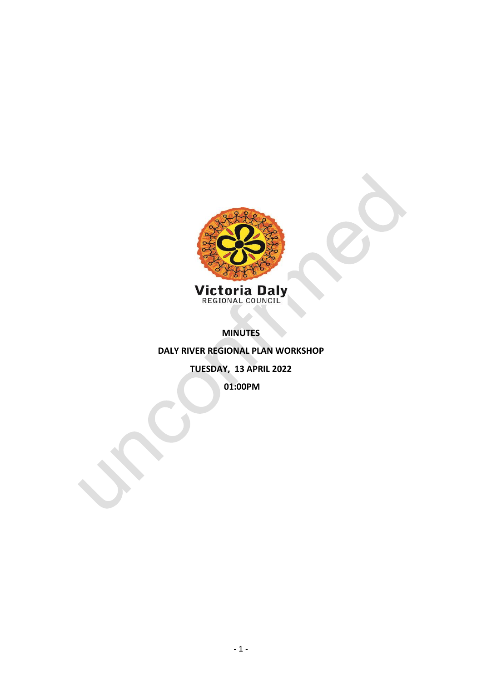

**MINUTES** 

**DALY RIVER REGIONAL PLAN WORKSHOP**

**TUESDAY, 13 APRIL 2022**

**01:00PM**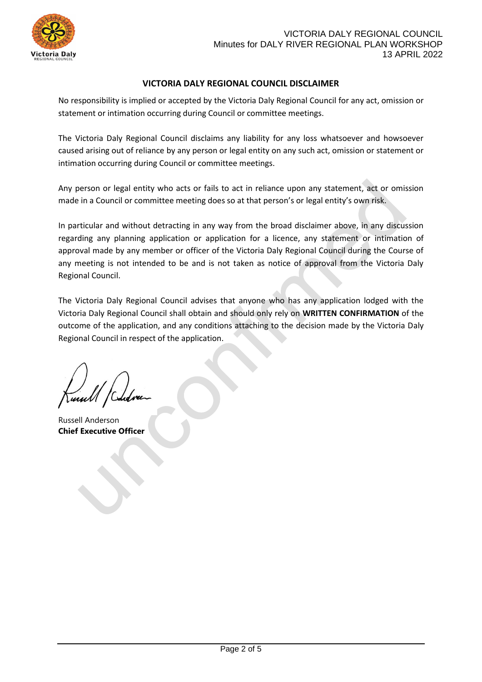

## **VICTORIA DALY REGIONAL COUNCIL DISCLAIMER**

No responsibility is implied or accepted by the Victoria Daly Regional Council for any act, omission or statement or intimation occurring during Council or committee meetings.

The Victoria Daly Regional Council disclaims any liability for any loss whatsoever and howsoever caused arising out of reliance by any person or legal entity on any such act, omission or statement or intimation occurring during Council or committee meetings.

Any person or legal entity who acts or fails to act in reliance upon any statement, act or omission made in a Council or committee meeting does so at that person's or legal entity's own risk.

In particular and without detracting in any way from the broad disclaimer above, in any discussion regarding any planning application or application for a licence, any statement or intimation of approval made by any member or officer of the Victoria Daly Regional Council during the Course of any meeting is not intended to be and is not taken as notice of approval from the Victoria Daly Regional Council.

The Victoria Daly Regional Council advises that anyone who has any application lodged with the Victoria Daly Regional Council shall obtain and should only rely on **WRITTEN CONFIRMATION** of the outcome of the application, and any conditions attaching to the decision made by the Victoria Daly Regional Council in respect of the application.

Russell Anderson **Chief Executive Officer**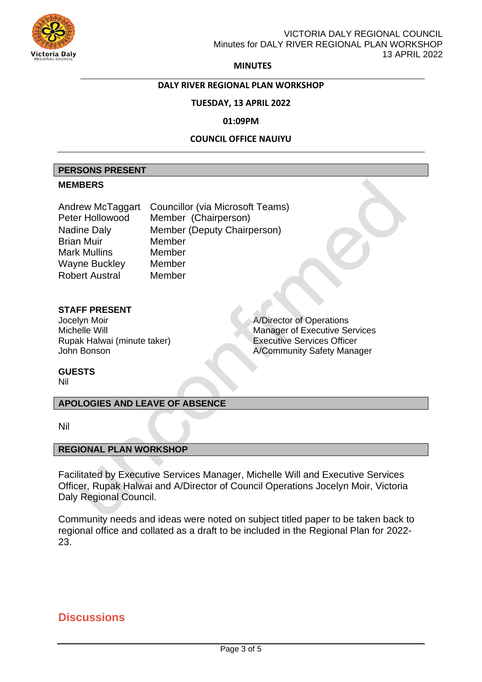

**MINUTES**

## **DALY RIVER REGIONAL PLAN WORKSHOP**

### **TUESDAY, 13 APRIL 2022**

#### **01:09PM**

### **COUNCIL OFFICE NAUIYU**

#### **PERSONS PRESENT**

#### **MEMBERS**

| Andrew McTaggart      | <b>Councillor (via Microsoft Teams)</b> |  |
|-----------------------|-----------------------------------------|--|
| Peter Hollowood       | Member (Chairperson)                    |  |
| <b>Nadine Daly</b>    | Member (Deputy Chairperson)             |  |
| <b>Brian Muir</b>     | Member                                  |  |
| Mark Mullins          | Member                                  |  |
| Wayne Buckley         | Member                                  |  |
| <b>Robert Austral</b> | Member                                  |  |

## **STAFF PRESENT**

Jocelyn Moir<br>Michelle Will **A/Director of Operations**<br>Manager of Executive Se Rupak Halwai (minute taker) Executive Services Officer

Manager of Executive Services A/Community Safety Manager

## **GUESTS**

Nil

## **APOLOGIES AND LEAVE OF ABSENCE**

Nil

### **REGIONAL PLAN WORKSHOP**

Facilitated by Executive Services Manager, Michelle Will and Executive Services Officer, Rupak Halwai and A/Director of Council Operations Jocelyn Moir, Victoria Daly Regional Council.

Community needs and ideas were noted on subject titled paper to be taken back to regional office and collated as a draft to be included in the Regional Plan for 2022- 23.

# **Discussions**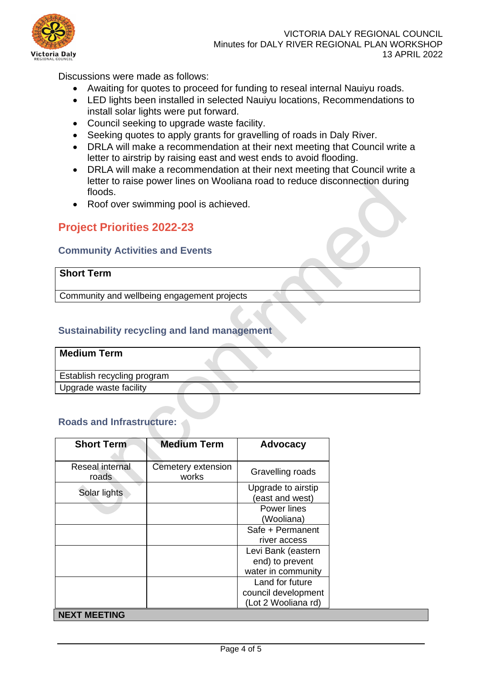

Discussions were made as follows:

- Awaiting for quotes to proceed for funding to reseal internal Nauiyu roads.
- LED lights been installed in selected Nauiyu locations, Recommendations to install solar lights were put forward.
- Council seeking to upgrade waste facility.
- Seeking quotes to apply grants for gravelling of roads in Daly River.
- DRLA will make a recommendation at their next meeting that Council write a letter to airstrip by raising east and west ends to avoid flooding.
- DRLA will make a recommendation at their next meeting that Council write a letter to raise power lines on Wooliana road to reduce disconnection during floods.
- Roof over swimming pool is achieved.

# **Project Priorities 2022-23**

## **Community Activities and Events**

# **Short Term**

Community and wellbeing engagement projects

## **Sustainability recycling and land management**

| <b>Medium Term</b>          |  |
|-----------------------------|--|
| Establish recycling program |  |
| Upgrade waste facility      |  |

## **Roads and Infrastructure:**

| <b>Short Term</b>        | <b>Medium Term</b>          | Advocacy                                                      |
|--------------------------|-----------------------------|---------------------------------------------------------------|
| Reseal internal<br>roads | Cemetery extension<br>works | Gravelling roads                                              |
| Solar lights             |                             | Upgrade to airstip<br>(east and west)                         |
|                          |                             | Power lines<br>(Wooliana)                                     |
|                          |                             | Safe + Permanent<br>river access                              |
|                          |                             | Levi Bank (eastern<br>end) to prevent<br>water in community   |
|                          |                             | Land for future<br>council development<br>(Lot 2 Wooliana rd) |
| <b>NEXT MEETING</b>      |                             |                                                               |